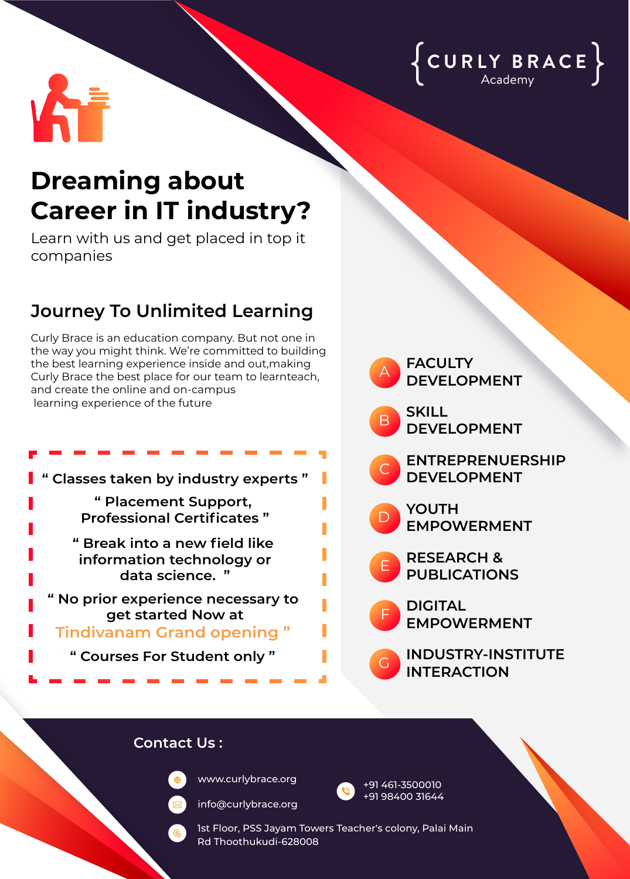



## **Dreaming about Career in IT industry?**

Learn with us and get placed in top it companies

## **Journey To Unlimited Learning**

Curly Brace is an education company. But not one in the way you might think. We're committed to building the best learning experience inside and out,making Curly Brace the best place for our team to learnteach, and create the online and on-campus learning experience of the future





## **Contact Us :**



www.curlybrace.org

info@curlybrace.org



+91 461-3500010 +91 98400 31644